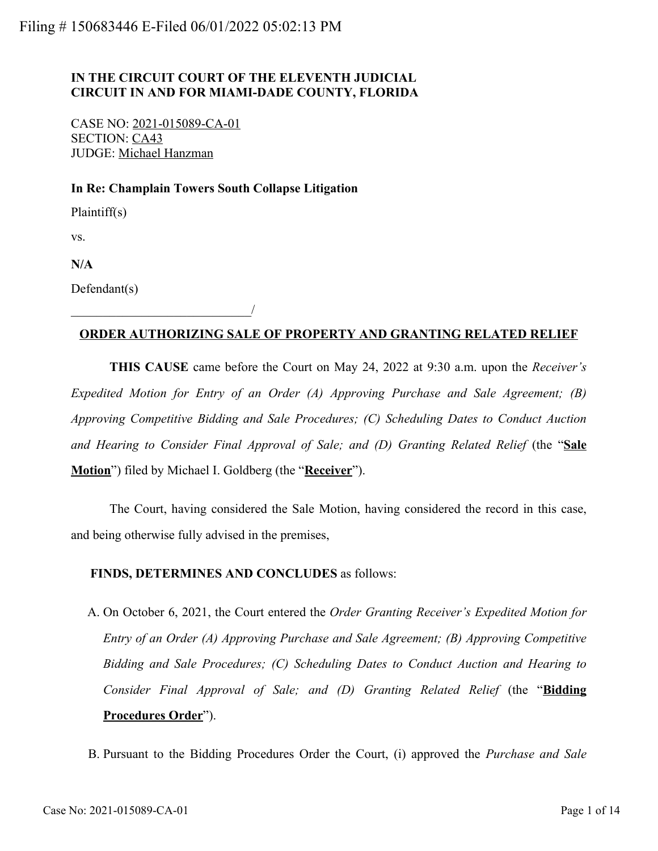## **IN THE CIRCUIT COURT OF THE ELEVENTH JUDICIAL CIRCUIT IN AND FOR MIAMI-DADE COUNTY, FLORIDA**

CASE NO: 2021-015089-CA-01 SECTION: CA43 JUDGE: Michael Hanzman

\_\_\_\_\_\_\_\_\_\_\_\_\_\_\_\_\_\_\_\_\_\_\_\_\_\_\_\_/

#### **In Re: Champlain Towers South Collapse Litigation**

Plaintiff(s)

vs.

**N/A**

Defendant(s)

### **ORDER AUTHORIZING SALE OF PROPERTY AND GRANTING RELATED RELIEF**

**THIS CAUSE** came before the Court on May 24, 2022 at 9:30 a.m. upon the *Receiver's Expedited Motion for Entry of an Order (A) Approving Purchase and Sale Agreement; (B) Approving Competitive Bidding and Sale Procedures; (C) Scheduling Dates to Conduct Auction and Hearing to Consider Final Approval of Sale; and (D) Granting Related Relief* (the "**Sale Motion**") filed by Michael I. Goldberg (the "**Receiver**").

The Court, having considered the Sale Motion, having considered the record in this case, and being otherwise fully advised in the premises,

#### **FINDS, DETERMINES AND CONCLUDES** as follows:

A. On October 6, 2021, the Court entered the *Order Granting Receiver's Expedited Motion for Entry of an Order (A) Approving Purchase and Sale Agreement; (B) Approving Competitive Bidding and Sale Procedures; (C) Scheduling Dates to Conduct Auction and Hearing to Consider Final Approval of Sale; and (D) Granting Related Relief* (the "**Bidding Procedures Order**").

B. Pursuant to the Bidding Procedures Order the Court, (i) approved the *Purchase and Sale*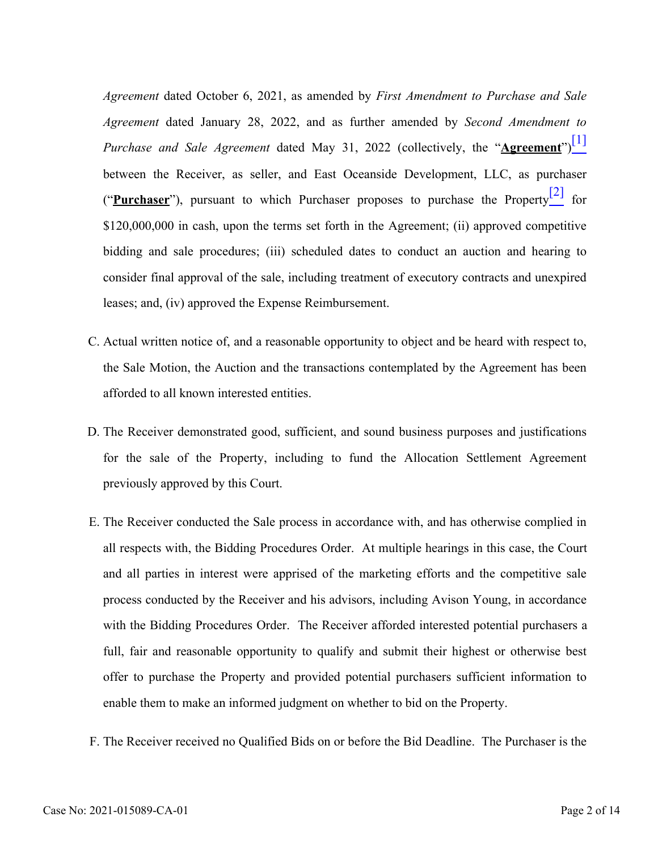<span id="page-1-1"></span><span id="page-1-0"></span>*Agreement* dated October 6, 2021, as amended by *First Amendment to Purchase and Sale Agreement* dated January 28, 2022, and as further amended by *Second Amendment to Purchase and Sale Agreement* dated May 31, 2022 (collectively, the "**Agreement**")<sup>[\[1\]](#page-3-0)</sup> between the Receiver, as seller, and East Oceanside Development, LLC, as purchaser ("**Purchaser**"), pursuant to which Purchaser proposes to purchase the Propert[y\[2\]](#page-3-1) for \$120,000,000 in cash, upon the terms set forth in the Agreement; (ii) approved competitive bidding and sale procedures; (iii) scheduled dates to conduct an auction and hearing to consider final approval of the sale, including treatment of executory contracts and unexpired leases; and, (iv) approved the Expense Reimbursement.

- C. Actual written notice of, and a reasonable opportunity to object and be heard with respect to, the Sale Motion, the Auction and the transactions contemplated by the Agreement has been afforded to all known interested entities.
- D. The Receiver demonstrated good, sufficient, and sound business purposes and justifications for the sale of the Property, including to fund the Allocation Settlement Agreement previously approved by this Court.
- E. The Receiver conducted the Sale process in accordance with, and has otherwise complied in all respects with, the Bidding Procedures Order. At multiple hearings in this case, the Court and all parties in interest were apprised of the marketing efforts and the competitive sale process conducted by the Receiver and his advisors, including Avison Young, in accordance with the Bidding Procedures Order. The Receiver afforded interested potential purchasers a full, fair and reasonable opportunity to qualify and submit their highest or otherwise best offer to purchase the Property and provided potential purchasers sufficient information to enable them to make an informed judgment on whether to bid on the Property.
- F. The Receiver received no Qualified Bids on or before the Bid Deadline. The Purchaser is the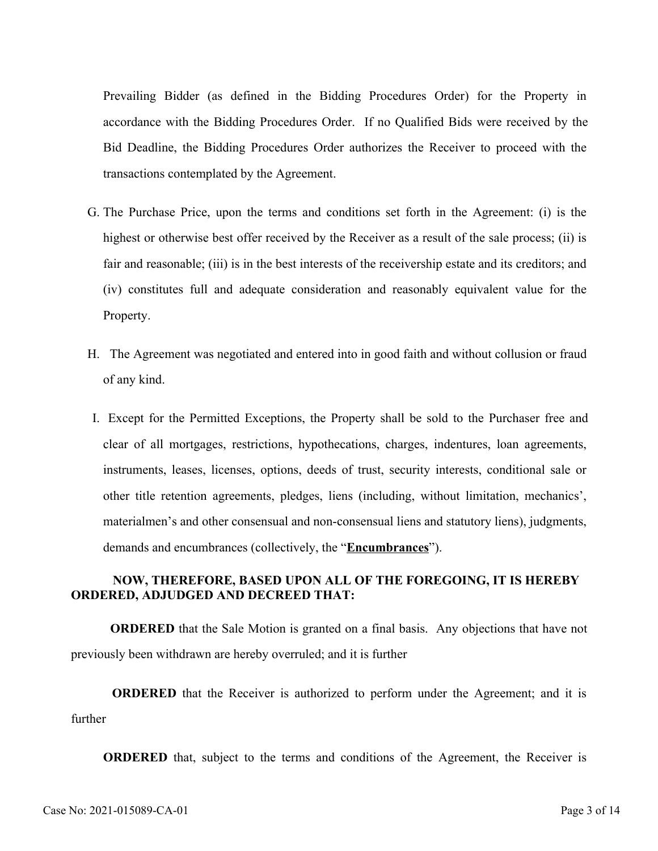Prevailing Bidder (as defined in the Bidding Procedures Order) for the Property in accordance with the Bidding Procedures Order. If no Qualified Bids were received by the Bid Deadline, the Bidding Procedures Order authorizes the Receiver to proceed with the transactions contemplated by the Agreement.

- G. The Purchase Price, upon the terms and conditions set forth in the Agreement: (i) is the highest or otherwise best offer received by the Receiver as a result of the sale process; (ii) is fair and reasonable; (iii) is in the best interests of the receivership estate and its creditors; and (iv) constitutes full and adequate consideration and reasonably equivalent value for the Property.
- H. The Agreement was negotiated and entered into in good faith and without collusion or fraud of any kind.
- Except for the Permitted Exceptions, the Property shall be sold to the Purchaser free and I. clear of all mortgages, restrictions, hypothecations, charges, indentures, loan agreements, instruments, leases, licenses, options, deeds of trust, security interests, conditional sale or other title retention agreements, pledges, liens (including, without limitation, mechanics', materialmen's and other consensual and non-consensual liens and statutory liens), judgments, demands and encumbrances (collectively, the "**Encumbrances**").

## **NOW, THEREFORE, BASED UPON ALL OF THE FOREGOING, IT IS HEREBY ORDERED, ADJUDGED AND DECREED THAT:**

**ORDERED** that the Sale Motion is granted on a final basis. Any objections that have not previously been withdrawn are hereby overruled; and it is further

**ORDERED** that the Receiver is authorized to perform under the Agreement; and it is further

**ORDERED** that, subject to the terms and conditions of the Agreement, the Receiver is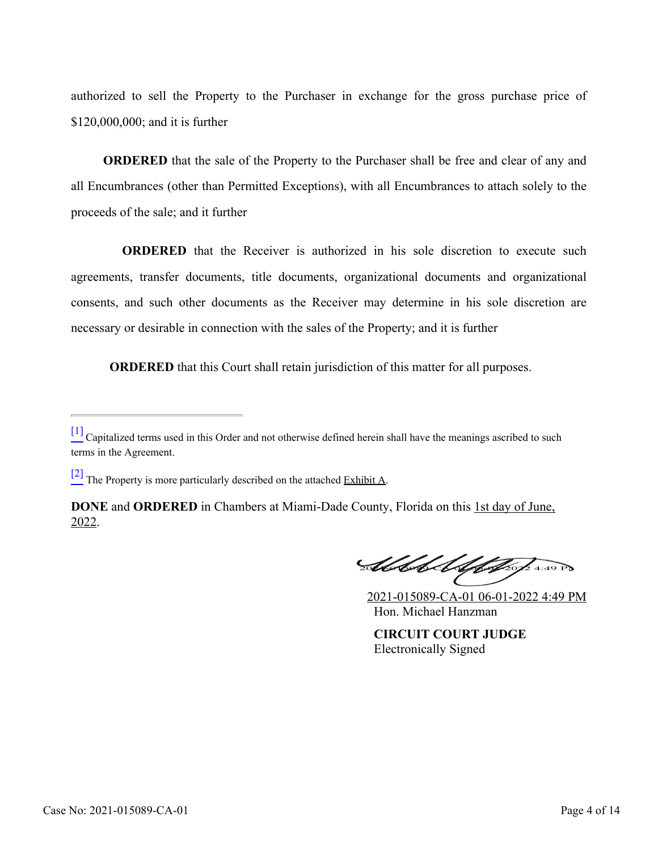authorized to sell the Property to the Purchaser in exchange for the gross purchase price of \$120,000,000; and it is further

**ORDERED** that the sale of the Property to the Purchaser shall be free and clear of any and all Encumbrances (other than Permitted Exceptions), with all Encumbrances to attach solely to the proceeds of the sale; and it further

**ORDERED** that the Receiver is authorized in his sole discretion to execute such agreements, transfer documents, title documents, organizational documents and organizational consents, and such other documents as the Receiver may determine in his sole discretion are necessary or desirable in connection with the sales of the Property; and it is further

**ORDERED** that this Court shall retain jurisdiction of this matter for all purposes.

**Steleh Uphysis 2.49 PM** 

2021-015089-CA-01 06-01-2022 4:49 PM Hon. Michael Hanzman

**CIRCUIT COURT JUDGE** Electronically Signed

<span id="page-3-0"></span> $\frac{[1]}{[1]}$  $\frac{[1]}{[1]}$  $\frac{[1]}{[1]}$  Capitalized terms used in this Order and not otherwise defined herein shall have the meanings ascribed to such terms in the Agreement.

<span id="page-3-1"></span> $\frac{[2]}{[2]}$  $\frac{[2]}{[2]}$  $\frac{[2]}{[2]}$  The Property is more particularly described on the attached Exhibit A.

**DONE** and **ORDERED** in Chambers at Miami-Dade County, Florida on this 1st day of June, 2022.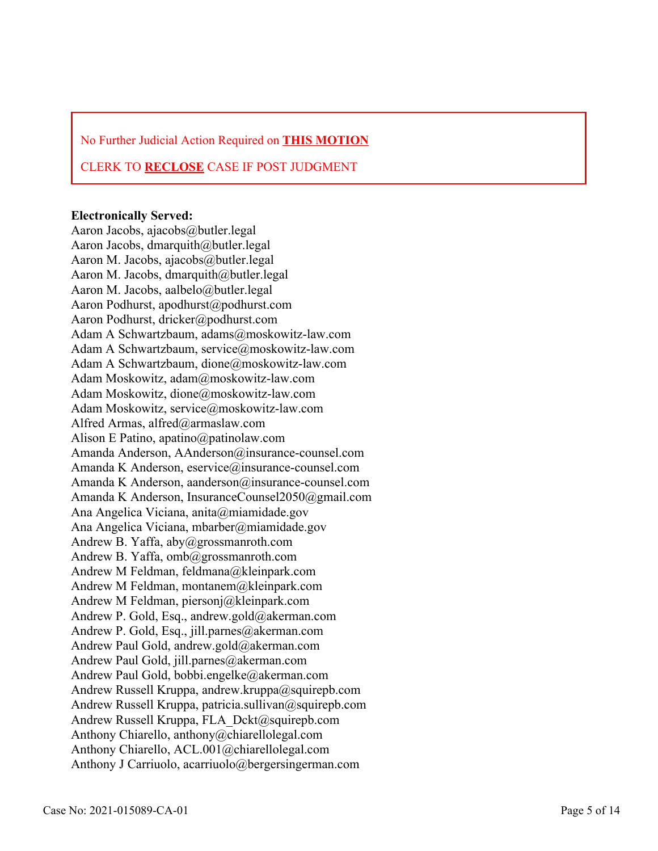No Further Judicial Action Required on **THIS MOTION**

### CLERK TO **RECLOSE** CASE IF POST JUDGMENT

#### **Electronically Served:**

Aaron Jacobs, ajacobs@butler.legal Aaron Jacobs, dmarquith@butler.legal Aaron M. Jacobs, ajacobs@butler.legal Aaron M. Jacobs, dmarquith@butler.legal Aaron M. Jacobs, aalbelo@butler.legal Aaron Podhurst, apodhurst@podhurst.com Aaron Podhurst, dricker@podhurst.com Adam A Schwartzbaum, adams@moskowitz-law.com Adam A Schwartzbaum, service@moskowitz-law.com Adam A Schwartzbaum, dione@moskowitz-law.com Adam Moskowitz, adam@moskowitz-law.com Adam Moskowitz, dione@moskowitz-law.com Adam Moskowitz, service@moskowitz-law.com Alfred Armas, alfred@armaslaw.com Alison E Patino, apatino@patinolaw.com Amanda Anderson, AAnderson@insurance-counsel.com Amanda K Anderson, eservice@insurance-counsel.com Amanda K Anderson, aanderson@insurance-counsel.com Amanda K Anderson, InsuranceCounsel2050@gmail.com Ana Angelica Viciana, anita@miamidade.gov Ana Angelica Viciana, mbarber@miamidade.gov Andrew B. Yaffa, aby@grossmanroth.com Andrew B. Yaffa, omb@grossmanroth.com Andrew M Feldman, feldmana@kleinpark.com Andrew M Feldman, montanem@kleinpark.com Andrew M Feldman, piersonj@kleinpark.com Andrew P. Gold, Esq., andrew.gold@akerman.com Andrew P. Gold, Esq., jill.parnes@akerman.com Andrew Paul Gold, andrew.gold@akerman.com Andrew Paul Gold, jill.parnes@akerman.com Andrew Paul Gold, bobbi.engelke@akerman.com Andrew Russell Kruppa, andrew.kruppa@squirepb.com Andrew Russell Kruppa, patricia.sullivan@squirepb.com Andrew Russell Kruppa, FLA\_Dckt@squirepb.com Anthony Chiarello, anthony@chiarellolegal.com Anthony Chiarello, ACL.001@chiarellolegal.com Anthony J Carriuolo, acarriuolo@bergersingerman.com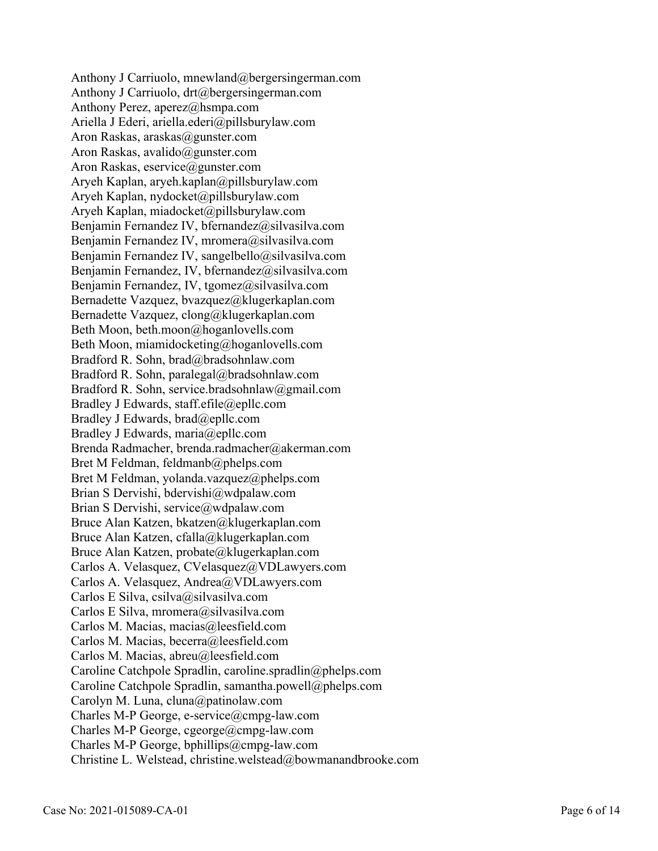Anthony J Carriuolo, mnewland@bergersingerman.com Anthony J Carriuolo, drt@bergersingerman.com Anthony Perez, aperez@hsmpa.com Ariella J Ederi, ariella.ederi@pillsburylaw.com Aron Raskas, araskas@gunster.com Aron Raskas, avalido@gunster.com Aron Raskas, eservice@gunster.com Aryeh Kaplan, aryeh.kaplan@pillsburylaw.com Aryeh Kaplan, nydocket@pillsburylaw.com Aryeh Kaplan, miadocket@pillsburylaw.com Benjamin Fernandez IV, bfernandez@silvasilva.com Benjamin Fernandez IV, mromera@silvasilva.com Benjamin Fernandez IV, sangelbello@silvasilva.com Benjamin Fernandez, IV, bfernandez@silvasilva.com Benjamin Fernandez, IV, tgomez@silvasilva.com Bernadette Vazquez, bvazquez@klugerkaplan.com Bernadette Vazquez, clong@klugerkaplan.com Beth Moon, beth.moon@hoganlovells.com Beth Moon, miamidocketing@hoganlovells.com Bradford R. Sohn, brad@bradsohnlaw.com Bradford R. Sohn, paralegal@bradsohnlaw.com Bradford R. Sohn, service.bradsohnlaw@gmail.com Bradley J Edwards, staff.efile@epllc.com Bradley J Edwards, brad@epllc.com Bradley J Edwards, maria@epllc.com Brenda Radmacher, brenda.radmacher@akerman.com Bret M Feldman, feldmanb@phelps.com Bret M Feldman, yolanda.vazquez@phelps.com Brian S Dervishi, bdervishi@wdpalaw.com Brian S Dervishi, service@wdpalaw.com Bruce Alan Katzen, bkatzen@klugerkaplan.com Bruce Alan Katzen, cfalla@klugerkaplan.com Bruce Alan Katzen, probate@klugerkaplan.com Carlos A. Velasquez, CVelasquez@VDLawyers.com Carlos A. Velasquez, Andrea@VDLawyers.com Carlos E Silva, csilva@silvasilva.com Carlos E Silva, mromera@silvasilva.com Carlos M. Macias, macias@leesfield.com Carlos M. Macias, becerra@leesfield.com Carlos M. Macias, abreu@leesfield.com Caroline Catchpole Spradlin, caroline.spradlin@phelps.com Caroline Catchpole Spradlin, samantha.powell@phelps.com Carolyn M. Luna, cluna@patinolaw.com Charles M-P George, e-service@cmpg-law.com Charles M-P George, cgeorge@cmpg-law.com Charles M-P George, bphillips@cmpg-law.com Christine L. Welstead, christine.welstead@bowmanandbrooke.com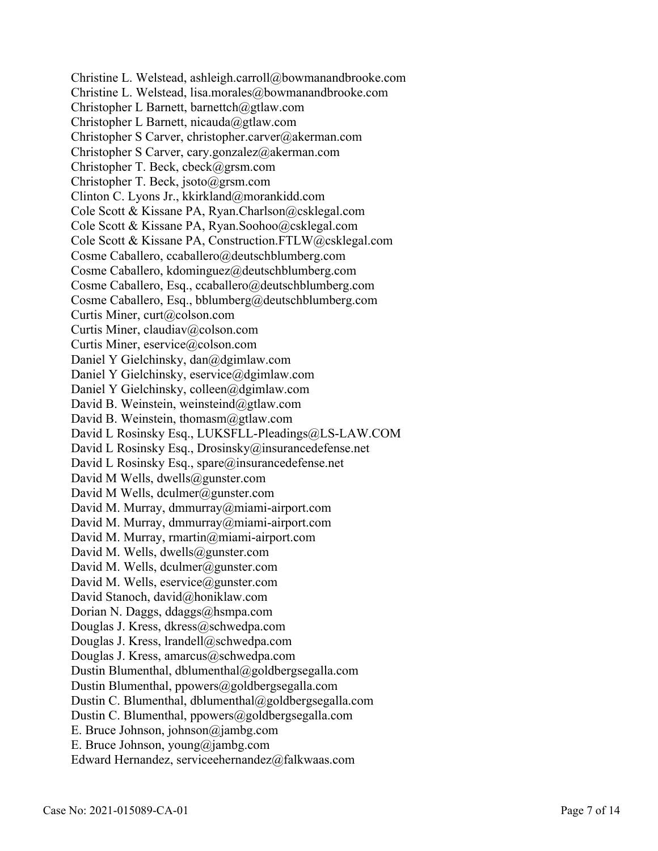Christine L. Welstead, ashleigh.carroll@bowmanandbrooke.com Christine L. Welstead, lisa.morales@bowmanandbrooke.com Christopher L Barnett, barnettch@gtlaw.com Christopher L Barnett, nicauda@gtlaw.com Christopher S Carver, christopher.carver@akerman.com Christopher S Carver, cary.gonzalez@akerman.com Christopher T. Beck, cbeck@grsm.com Christopher T. Beck, jsoto@grsm.com Clinton C. Lyons Jr., kkirkland@morankidd.com Cole Scott & Kissane PA, Ryan.Charlson@csklegal.com Cole Scott & Kissane PA, Ryan.Soohoo@csklegal.com Cole Scott & Kissane PA, Construction.FTLW@csklegal.com Cosme Caballero, ccaballero@deutschblumberg.com Cosme Caballero, kdominguez@deutschblumberg.com Cosme Caballero, Esq., ccaballero@deutschblumberg.com Cosme Caballero, Esq., bblumberg@deutschblumberg.com Curtis Miner, curt@colson.com Curtis Miner, claudiav@colson.com Curtis Miner, eservice@colson.com Daniel Y Gielchinsky, dan@dgimlaw.com Daniel Y Gielchinsky, eservice@dgimlaw.com Daniel Y Gielchinsky, colleen@dgimlaw.com David B. Weinstein, weinsteind@gtlaw.com David B. Weinstein, thomasm@gtlaw.com David L Rosinsky Esq., LUKSFLL-Pleadings@LS-LAW.COM David L Rosinsky Esq., Drosinsky@insurancedefense.net David L Rosinsky Esq., spare@insurancedefense.net David M Wells, dwells@gunster.com David M Wells, dculmer@gunster.com David M. Murray, dmmurray@miami-airport.com David M. Murray, dmmurray@miami-airport.com David M. Murray, rmartin@miami-airport.com David M. Wells, dwells@gunster.com David M. Wells, dculmer@gunster.com David M. Wells, eservice@gunster.com David Stanoch, david@honiklaw.com Dorian N. Daggs, ddaggs@hsmpa.com Douglas J. Kress, dkress@schwedpa.com Douglas J. Kress, lrandell@schwedpa.com Douglas J. Kress, amarcus@schwedpa.com Dustin Blumenthal, dblumenthal@goldbergsegalla.com Dustin Blumenthal, ppowers@goldbergsegalla.com Dustin C. Blumenthal, dblumenthal@goldbergsegalla.com Dustin C. Blumenthal, ppowers@goldbergsegalla.com E. Bruce Johnson, johnson@jambg.com E. Bruce Johnson, young@jambg.com Edward Hernandez, serviceehernandez@falkwaas.com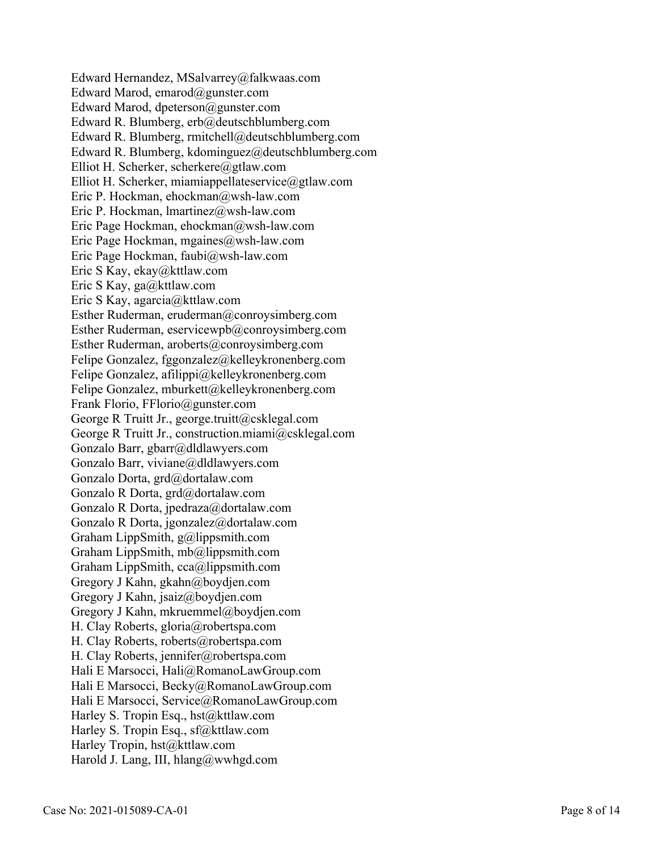Edward Hernandez, MSalvarrey@falkwaas.com Edward Marod, emarod@gunster.com Edward Marod, dpeterson@gunster.com Edward R. Blumberg, erb@deutschblumberg.com Edward R. Blumberg, rmitchell@deutschblumberg.com Edward R. Blumberg, kdominguez@deutschblumberg.com Elliot H. Scherker, scherkere@gtlaw.com Elliot H. Scherker, miamiappellateservice@gtlaw.com Eric P. Hockman, ehockman@wsh-law.com Eric P. Hockman, lmartinez@wsh-law.com Eric Page Hockman, ehockman@wsh-law.com Eric Page Hockman, mgaines@wsh-law.com Eric Page Hockman, faubi@wsh-law.com Eric S Kay, ekay@kttlaw.com Eric S Kay, ga@kttlaw.com Eric S Kay, agarcia@kttlaw.com Esther Ruderman, eruderman@conroysimberg.com Esther Ruderman, eservicewpb@conroysimberg.com Esther Ruderman, aroberts@conroysimberg.com Felipe Gonzalez, fggonzalez@kelleykronenberg.com Felipe Gonzalez, afilippi@kelleykronenberg.com Felipe Gonzalez, mburkett@kelleykronenberg.com Frank Florio, FFlorio@gunster.com George R Truitt Jr., george.truitt@csklegal.com George R Truitt Jr., construction.miami@csklegal.com Gonzalo Barr, gbarr@dldlawyers.com Gonzalo Barr, viviane@dldlawyers.com Gonzalo Dorta, grd@dortalaw.com Gonzalo R Dorta, grd@dortalaw.com Gonzalo R Dorta, jpedraza@dortalaw.com Gonzalo R Dorta, jgonzalez@dortalaw.com Graham LippSmith, g@lippsmith.com Graham LippSmith, mb@lippsmith.com Graham LippSmith, cca@lippsmith.com Gregory J Kahn, gkahn@boydjen.com Gregory J Kahn, jsaiz@boydjen.com Gregory J Kahn, mkruemmel@boydjen.com H. Clay Roberts, gloria@robertspa.com H. Clay Roberts, roberts@robertspa.com H. Clay Roberts, jennifer@robertspa.com Hali E Marsocci, Hali@RomanoLawGroup.com Hali E Marsocci, Becky@RomanoLawGroup.com Hali E Marsocci, Service@RomanoLawGroup.com Harley S. Tropin Esq., hst@kttlaw.com Harley S. Tropin Esq., sf@kttlaw.com Harley Tropin, hst@kttlaw.com Harold J. Lang, III, hlang@wwhgd.com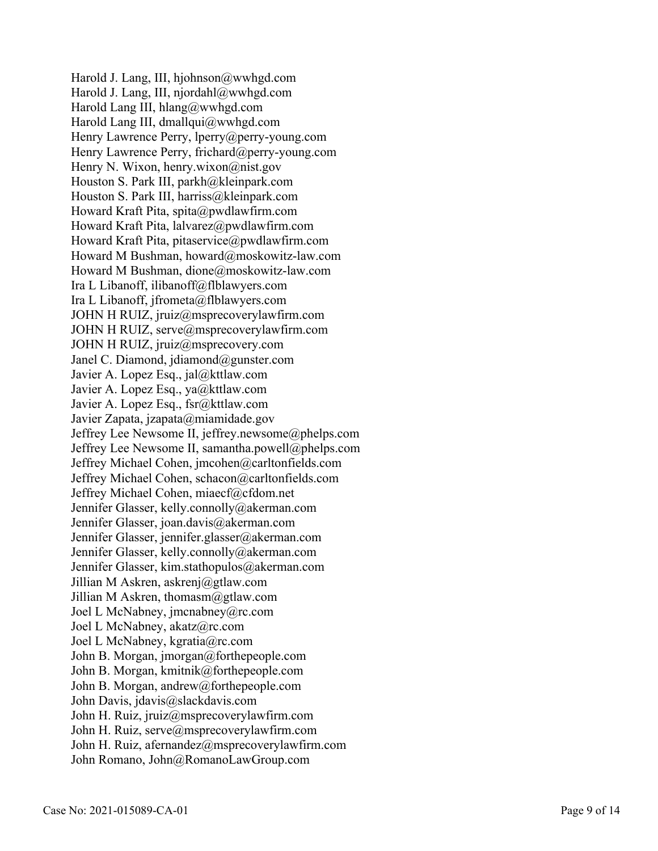Harold J. Lang, III, hjohnson@wwhgd.com Harold J. Lang, III, njordahl@wwhgd.com Harold Lang III, hlang@wwhgd.com Harold Lang III, dmallqui@wwhgd.com Henry Lawrence Perry, lperry@perry-young.com Henry Lawrence Perry, frichard@perry-young.com Henry N. Wixon, henry.wixon@nist.gov Houston S. Park III, parkh@kleinpark.com Houston S. Park III, harriss@kleinpark.com Howard Kraft Pita, spita@pwdlawfirm.com Howard Kraft Pita, lalvarez@pwdlawfirm.com Howard Kraft Pita, pitaservice@pwdlawfirm.com Howard M Bushman, howard@moskowitz-law.com Howard M Bushman, dione@moskowitz-law.com Ira L Libanoff, ilibanoff@flblawyers.com Ira L Libanoff, jfrometa@flblawyers.com JOHN H RUIZ, jruiz@msprecoverylawfirm.com JOHN H RUIZ, serve@msprecoverylawfirm.com JOHN H RUIZ, jruiz@msprecovery.com Janel C. Diamond, jdiamond@gunster.com Javier A. Lopez Esq., jal@kttlaw.com Javier A. Lopez Esq., ya@kttlaw.com Javier A. Lopez Esq., fsr@kttlaw.com Javier Zapata, jzapata@miamidade.gov Jeffrey Lee Newsome II, jeffrey.newsome@phelps.com Jeffrey Lee Newsome II, samantha.powell@phelps.com Jeffrey Michael Cohen, jmcohen@carltonfields.com Jeffrey Michael Cohen, schacon@carltonfields.com Jeffrey Michael Cohen, miaecf@cfdom.net Jennifer Glasser, kelly.connolly@akerman.com Jennifer Glasser, joan.davis@akerman.com Jennifer Glasser, jennifer.glasser@akerman.com Jennifer Glasser, kelly.connolly@akerman.com Jennifer Glasser, kim.stathopulos@akerman.com Jillian M Askren, askrenj@gtlaw.com Jillian M Askren, thomasm@gtlaw.com Joel L McNabney, jmcnabney@rc.com Joel L McNabney, akatz@rc.com Joel L McNabney, kgratia@rc.com John B. Morgan, jmorgan@forthepeople.com John B. Morgan, kmitnik@forthepeople.com John B. Morgan, andrew@forthepeople.com John Davis, jdavis@slackdavis.com John H. Ruiz, jruiz@msprecoverylawfirm.com John H. Ruiz, serve@msprecoverylawfirm.com John H. Ruiz, afernandez@msprecoverylawfirm.com John Romano, John@RomanoLawGroup.com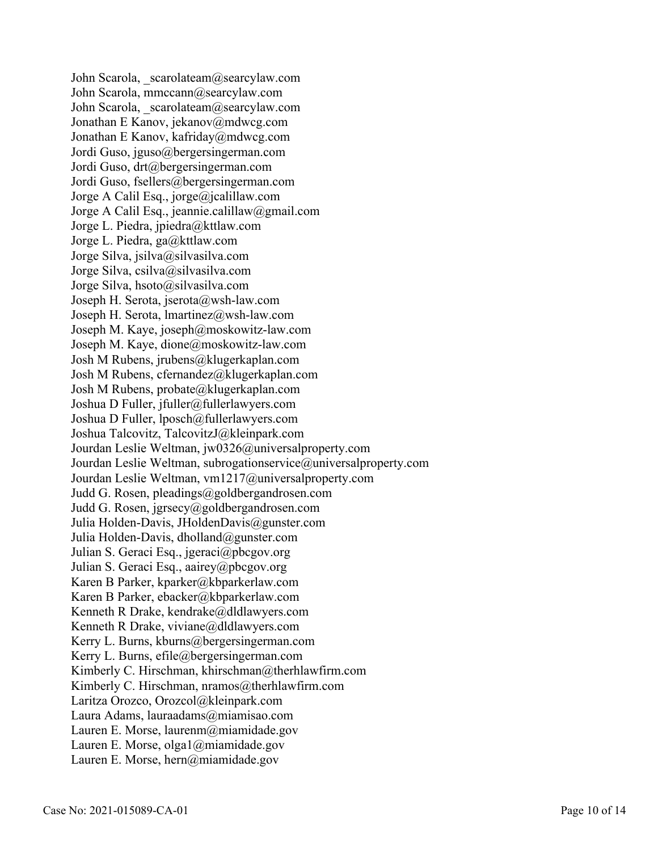John Scarola, scarolateam@searcylaw.com John Scarola, mmccann@searcylaw.com John Scarola, scarolateam@searcylaw.com Jonathan E Kanov, jekanov@mdwcg.com Jonathan E Kanov, kafriday@mdwcg.com Jordi Guso, jguso@bergersingerman.com Jordi Guso, drt@bergersingerman.com Jordi Guso, fsellers@bergersingerman.com Jorge A Calil Esq., jorge@jcalillaw.com Jorge A Calil Esq., jeannie.calillaw@gmail.com Jorge L. Piedra, jpiedra@kttlaw.com Jorge L. Piedra, ga@kttlaw.com Jorge Silva, jsilva@silvasilva.com Jorge Silva, csilva@silvasilva.com Jorge Silva, hsoto@silvasilva.com Joseph H. Serota, jserota@wsh-law.com Joseph H. Serota, lmartinez@wsh-law.com Joseph M. Kaye, joseph@moskowitz-law.com Joseph M. Kaye, dione@moskowitz-law.com Josh M Rubens, jrubens@klugerkaplan.com Josh M Rubens, cfernandez@klugerkaplan.com Josh M Rubens, probate@klugerkaplan.com Joshua D Fuller, jfuller@fullerlawyers.com Joshua D Fuller, lposch@fullerlawyers.com Joshua Talcovitz, TalcovitzJ@kleinpark.com Jourdan Leslie Weltman, jw0326@universalproperty.com Jourdan Leslie Weltman, subrogationservice@universalproperty.com Jourdan Leslie Weltman, vm1217@universalproperty.com Judd G. Rosen, pleadings@goldbergandrosen.com Judd G. Rosen, jgrsecy@goldbergandrosen.com Julia Holden-Davis, JHoldenDavis@gunster.com Julia Holden-Davis, dholland@gunster.com Julian S. Geraci Esq., jgeraci@pbcgov.org Julian S. Geraci Esq., aairey@pbcgov.org Karen B Parker, kparker@kbparkerlaw.com Karen B Parker, ebacker@kbparkerlaw.com Kenneth R Drake, kendrake@dldlawyers.com Kenneth R Drake, viviane@dldlawyers.com Kerry L. Burns, kburns@bergersingerman.com Kerry L. Burns, efile@bergersingerman.com Kimberly C. Hirschman, khirschman@therhlawfirm.com Kimberly C. Hirschman, nramos@therhlawfirm.com Laritza Orozco, Orozcol@kleinpark.com Laura Adams, lauraadams@miamisao.com Lauren E. Morse, laurenm@miamidade.gov Lauren E. Morse, olga1@miamidade.gov Lauren E. Morse, hern@miamidade.gov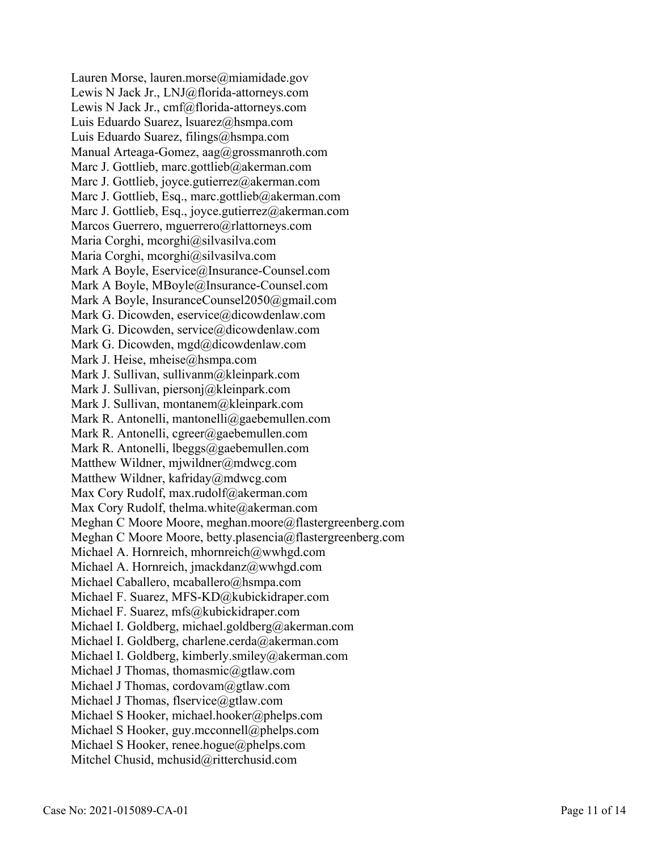Lauren Morse, lauren.morse@miamidade.gov Lewis N Jack Jr., LNJ@florida-attorneys.com Lewis N Jack Jr., cmf@florida-attorneys.com Luis Eduardo Suarez, lsuarez@hsmpa.com Luis Eduardo Suarez, filings@hsmpa.com Manual Arteaga-Gomez, aag@grossmanroth.com Marc J. Gottlieb, marc.gottlieb@akerman.com Marc J. Gottlieb, joyce.gutierrez@akerman.com Marc J. Gottlieb, Esq., marc.gottlieb@akerman.com Marc J. Gottlieb, Esq., joyce.gutierrez@akerman.com Marcos Guerrero, mguerrero@rlattorneys.com Maria Corghi, mcorghi@silvasilva.com Maria Corghi, mcorghi@silvasilva.com Mark A Boyle, Eservice@Insurance-Counsel.com Mark A Boyle, MBoyle@Insurance-Counsel.com Mark A Boyle, InsuranceCounsel2050@gmail.com Mark G. Dicowden, eservice@dicowdenlaw.com Mark G. Dicowden, service@dicowdenlaw.com Mark G. Dicowden, mgd@dicowdenlaw.com Mark J. Heise, mheise@hsmpa.com Mark J. Sullivan, sullivanm@kleinpark.com Mark J. Sullivan, piersonj@kleinpark.com Mark J. Sullivan, montanem@kleinpark.com Mark R. Antonelli, mantonelli@gaebemullen.com Mark R. Antonelli, cgreer@gaebemullen.com Mark R. Antonelli, lbeggs@gaebemullen.com Matthew Wildner, mjwildner@mdwcg.com Matthew Wildner, kafriday@mdwcg.com Max Cory Rudolf, max.rudolf@akerman.com Max Cory Rudolf, thelma.white@akerman.com Meghan C Moore Moore, meghan.moore@flastergreenberg.com Meghan C Moore Moore, betty.plasencia@flastergreenberg.com Michael A. Hornreich, mhornreich@wwhgd.com Michael A. Hornreich, jmackdanz@wwhgd.com Michael Caballero, mcaballero@hsmpa.com Michael F. Suarez, MFS-KD@kubickidraper.com Michael F. Suarez, mfs@kubickidraper.com Michael I. Goldberg, michael.goldberg@akerman.com Michael I. Goldberg, charlene.cerda@akerman.com Michael I. Goldberg, kimberly.smiley@akerman.com Michael J Thomas, thomasmic@gtlaw.com Michael J Thomas, cordovam@gtlaw.com Michael J Thomas, flservice@gtlaw.com Michael S Hooker, michael.hooker@phelps.com Michael S Hooker, guy.mcconnell@phelps.com Michael S Hooker, renee.hogue@phelps.com Mitchel Chusid, mchusid@ritterchusid.com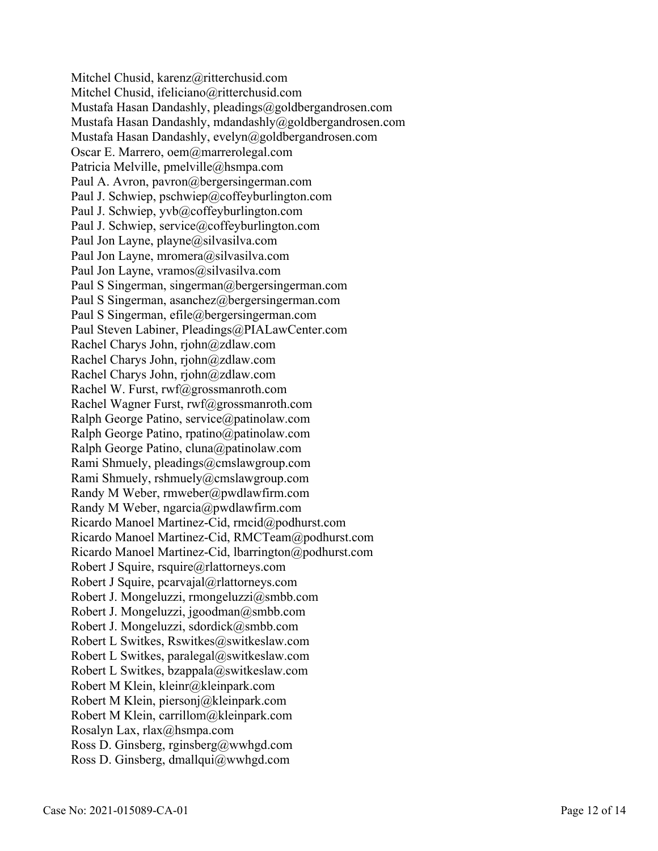Mitchel Chusid, karenz@ritterchusid.com Mitchel Chusid, ifeliciano@ritterchusid.com Mustafa Hasan Dandashly, pleadings@goldbergandrosen.com Mustafa Hasan Dandashly, mdandashly@goldbergandrosen.com Mustafa Hasan Dandashly, evelyn@goldbergandrosen.com Oscar E. Marrero, oem@marrerolegal.com Patricia Melville, pmelville@hsmpa.com Paul A. Avron, pavron@bergersingerman.com Paul J. Schwiep, pschwiep@coffeyburlington.com Paul J. Schwiep, yvb@coffeyburlington.com Paul J. Schwiep, service@coffeyburlington.com Paul Jon Layne, playne@silvasilva.com Paul Jon Layne, mromera@silvasilva.com Paul Jon Layne, vramos@silvasilva.com Paul S Singerman, singerman@bergersingerman.com Paul S Singerman, asanchez@bergersingerman.com Paul S Singerman, efile@bergersingerman.com Paul Steven Labiner, Pleadings@PIALawCenter.com Rachel Charys John, rjohn@zdlaw.com Rachel Charys John, rjohn@zdlaw.com Rachel Charys John, rjohn@zdlaw.com Rachel W. Furst, rwf@grossmanroth.com Rachel Wagner Furst, rwf@grossmanroth.com Ralph George Patino, service@patinolaw.com Ralph George Patino, rpatino@patinolaw.com Ralph George Patino, cluna@patinolaw.com Rami Shmuely, pleadings@cmslawgroup.com Rami Shmuely, rshmuely@cmslawgroup.com Randy M Weber, rmweber@pwdlawfirm.com Randy M Weber, ngarcia@pwdlawfirm.com Ricardo Manoel Martinez-Cid, rmcid@podhurst.com Ricardo Manoel Martinez-Cid, RMCTeam@podhurst.com Ricardo Manoel Martinez-Cid, lbarrington@podhurst.com Robert J Squire, rsquire@rlattorneys.com Robert J Squire, pcarvajal@rlattorneys.com Robert J. Mongeluzzi, rmongeluzzi@smbb.com Robert J. Mongeluzzi, jgoodman@smbb.com Robert J. Mongeluzzi, sdordick@smbb.com Robert L Switkes, Rswitkes@switkeslaw.com Robert L Switkes, paralegal@switkeslaw.com Robert L Switkes, bzappala@switkeslaw.com Robert M Klein, kleinr@kleinpark.com Robert M Klein, piersonj@kleinpark.com Robert M Klein, carrillom@kleinpark.com Rosalyn Lax, rlax@hsmpa.com Ross D. Ginsberg, rginsberg@wwhgd.com Ross D. Ginsberg, dmallqui@wwhgd.com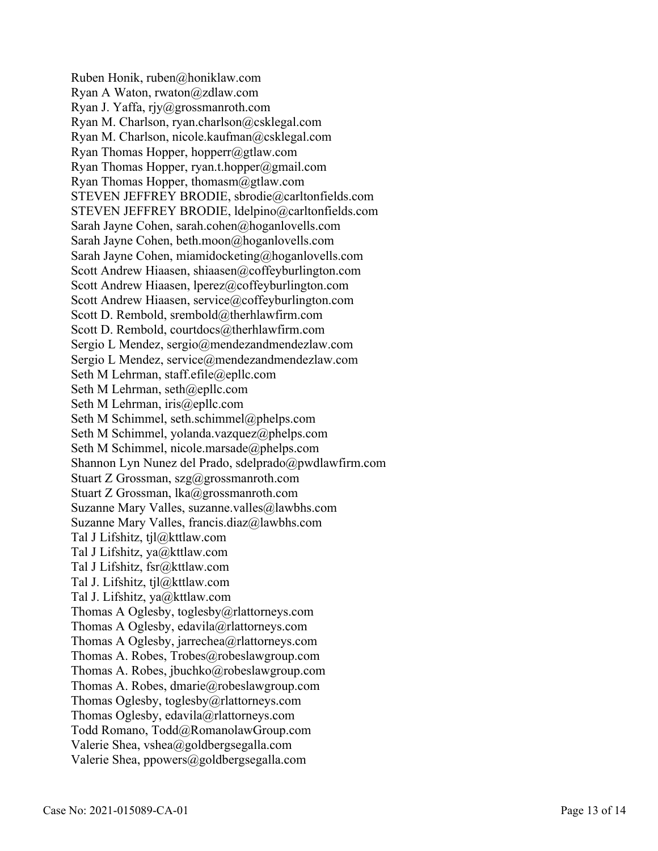Ruben Honik, ruben@honiklaw.com Ryan A Waton, rwaton@zdlaw.com Ryan J. Yaffa, rjy@grossmanroth.com Ryan M. Charlson, ryan.charlson@csklegal.com Ryan M. Charlson, nicole.kaufman@csklegal.com Ryan Thomas Hopper, hopperr@gtlaw.com Ryan Thomas Hopper, ryan.t.hopper@gmail.com Ryan Thomas Hopper, thomasm@gtlaw.com STEVEN JEFFREY BRODIE, sbrodie@carltonfields.com STEVEN JEFFREY BRODIE, ldelpino@carltonfields.com Sarah Jayne Cohen, sarah.cohen@hoganlovells.com Sarah Jayne Cohen, beth.moon@hoganlovells.com Sarah Jayne Cohen, miamidocketing@hoganlovells.com Scott Andrew Hiaasen, shiaasen@coffeyburlington.com Scott Andrew Hiaasen, lperez@coffeyburlington.com Scott Andrew Hiaasen, service@coffeyburlington.com Scott D. Rembold, srembold@therhlawfirm.com Scott D. Rembold, courtdocs@therhlawfirm.com Sergio L Mendez, sergio@mendezandmendezlaw.com Sergio L Mendez, service@mendezandmendezlaw.com Seth M Lehrman, staff.efile@epllc.com Seth M Lehrman, seth@epllc.com Seth M Lehrman, iris@epllc.com Seth M Schimmel, seth.schimmel@phelps.com Seth M Schimmel, yolanda.vazquez@phelps.com Seth M Schimmel, nicole.marsade@phelps.com Shannon Lyn Nunez del Prado, sdelprado@pwdlawfirm.com Stuart Z Grossman, szg@grossmanroth.com Stuart Z Grossman, lka@grossmanroth.com Suzanne Mary Valles, suzanne.valles@lawbhs.com Suzanne Mary Valles, francis.diaz@lawbhs.com Tal J Lifshitz, tjl@kttlaw.com Tal J Lifshitz, ya@kttlaw.com Tal J Lifshitz, fsr@kttlaw.com Tal J. Lifshitz, tjl@kttlaw.com Tal J. Lifshitz, ya@kttlaw.com Thomas A Oglesby, toglesby@rlattorneys.com Thomas A Oglesby, edavila@rlattorneys.com Thomas A Oglesby, jarrechea@rlattorneys.com Thomas A. Robes, Trobes@robeslawgroup.com Thomas A. Robes, jbuchko@robeslawgroup.com Thomas A. Robes, dmarie@robeslawgroup.com Thomas Oglesby, toglesby@rlattorneys.com Thomas Oglesby, edavila@rlattorneys.com Todd Romano, Todd@RomanolawGroup.com Valerie Shea, vshea@goldbergsegalla.com Valerie Shea, ppowers@goldbergsegalla.com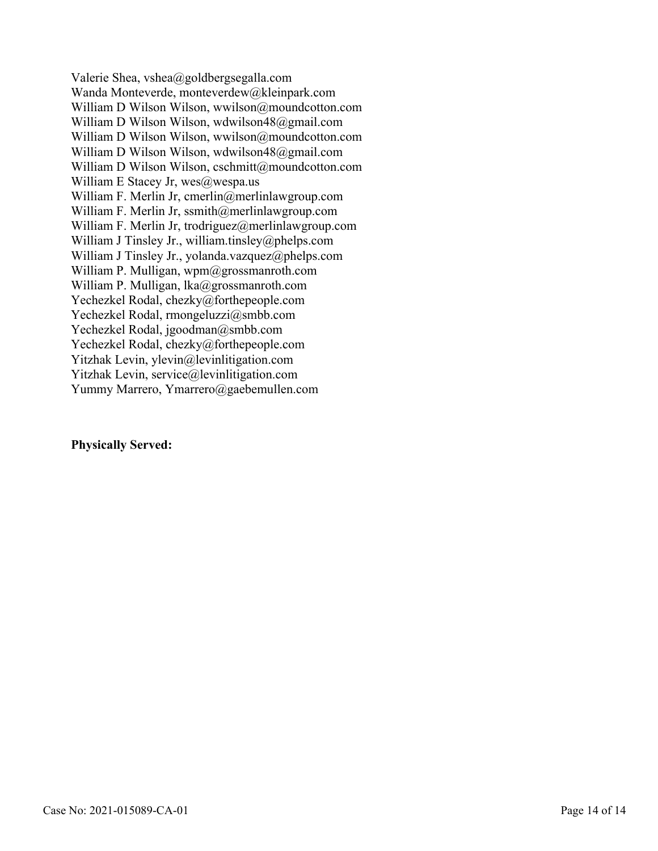Valerie Shea, vshea@goldbergsegalla.com Wanda Monteverde, monteverdew@kleinpark.com William D Wilson Wilson, wwilson@moundcotton.com William D Wilson Wilson, wdwilson48@gmail.com William D Wilson Wilson, wwilson@moundcotton.com William D Wilson Wilson, wdwilson48@gmail.com William D Wilson Wilson, cschmitt@moundcotton.com William E Stacey Jr,  $wes@wespa.us$ William F. Merlin Jr, cmerlin@merlinlawgroup.com William F. Merlin Jr, ssmith@merlinlawgroup.com William F. Merlin Jr, trodriguez@merlinlawgroup.com William J Tinsley Jr., william.tinsley@phelps.com William J Tinsley Jr., yolanda.vazquez@phelps.com William P. Mulligan, wpm@grossmanroth.com William P. Mulligan, lka@grossmanroth.com Yechezkel Rodal, chezky@forthepeople.com Yechezkel Rodal, rmongeluzzi@smbb.com Yechezkel Rodal, jgoodman@smbb.com Yechezkel Rodal, chezky@forthepeople.com Yitzhak Levin, ylevin@levinlitigation.com Yitzhak Levin, service@levinlitigation.com Yummy Marrero, Ymarrero@gaebemullen.com

#### **Physically Served:**